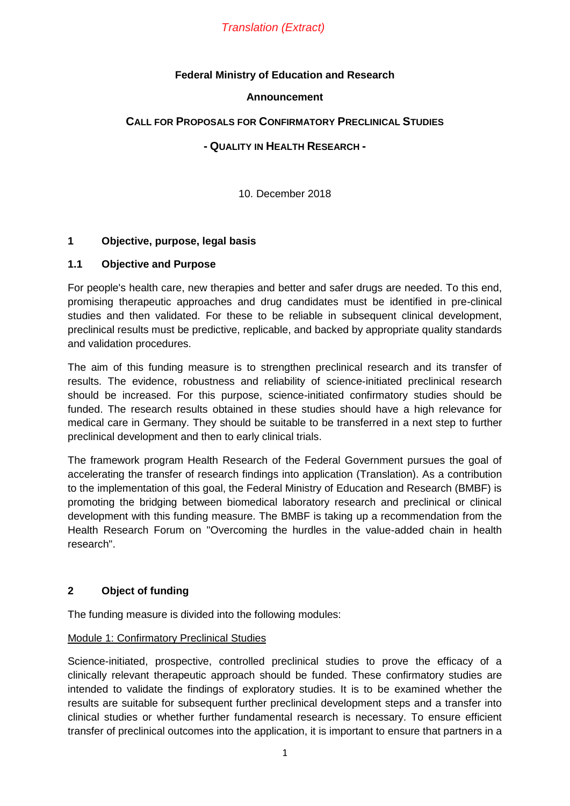# *Translation (Extract)*

# **Federal Ministry of Education and Research**

### **Announcement**

# **CALL FOR PROPOSALS FOR CONFIRMATORY PRECLINICAL STUDIES**

# **- QUALITY IN HEALTH RESEARCH -**

10. December 2018

# **1 Objective, purpose, legal basis**

# **1.1 Objective and Purpose**

For people's health care, new therapies and better and safer drugs are needed. To this end, promising therapeutic approaches and drug candidates must be identified in pre-clinical studies and then validated. For these to be reliable in subsequent clinical development, preclinical results must be predictive, replicable, and backed by appropriate quality standards and validation procedures.

The aim of this funding measure is to strengthen preclinical research and its transfer of results. The evidence, robustness and reliability of science-initiated preclinical research should be increased. For this purpose, science-initiated confirmatory studies should be funded. The research results obtained in these studies should have a high relevance for medical care in Germany. They should be suitable to be transferred in a next step to further preclinical development and then to early clinical trials.

The framework program Health Research of the Federal Government pursues the goal of accelerating the transfer of research findings into application (Translation). As a contribution to the implementation of this goal, the Federal Ministry of Education and Research (BMBF) is promoting the bridging between biomedical laboratory research and preclinical or clinical development with this funding measure. The BMBF is taking up a recommendation from the Health Research Forum on "Overcoming the hurdles in the value-added chain in health research".

# **2 Object of funding**

The funding measure is divided into the following modules:

### Module 1: Confirmatory Preclinical Studies

Science-initiated, prospective, controlled preclinical studies to prove the efficacy of a clinically relevant therapeutic approach should be funded. These confirmatory studies are intended to validate the findings of exploratory studies. It is to be examined whether the results are suitable for subsequent further preclinical development steps and a transfer into clinical studies or whether further fundamental research is necessary. To ensure efficient transfer of preclinical outcomes into the application, it is important to ensure that partners in a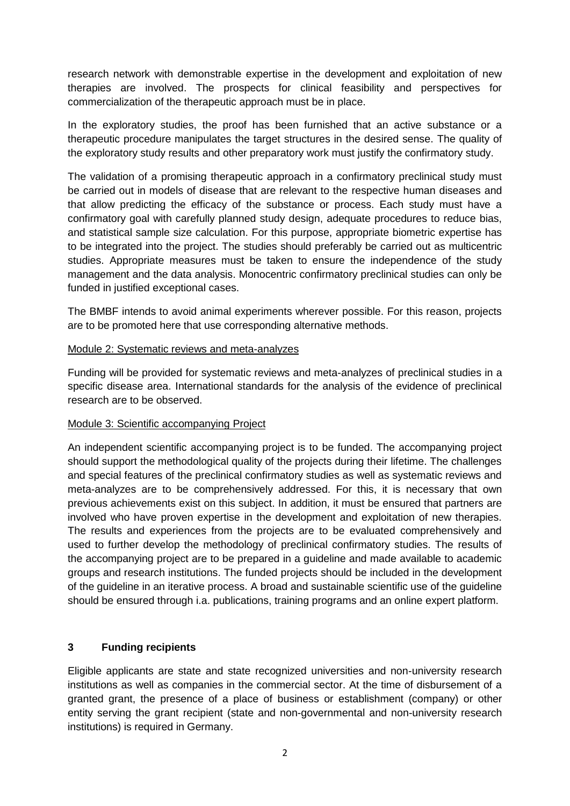research network with demonstrable expertise in the development and exploitation of new therapies are involved. The prospects for clinical feasibility and perspectives for commercialization of the therapeutic approach must be in place.

In the exploratory studies, the proof has been furnished that an active substance or a therapeutic procedure manipulates the target structures in the desired sense. The quality of the exploratory study results and other preparatory work must justify the confirmatory study.

The validation of a promising therapeutic approach in a confirmatory preclinical study must be carried out in models of disease that are relevant to the respective human diseases and that allow predicting the efficacy of the substance or process. Each study must have a confirmatory goal with carefully planned study design, adequate procedures to reduce bias, and statistical sample size calculation. For this purpose, appropriate biometric expertise has to be integrated into the project. The studies should preferably be carried out as multicentric studies. Appropriate measures must be taken to ensure the independence of the study management and the data analysis. Monocentric confirmatory preclinical studies can only be funded in justified exceptional cases.

The BMBF intends to avoid animal experiments wherever possible. For this reason, projects are to be promoted here that use corresponding alternative methods.

# Module 2: Systematic reviews and meta-analyzes

Funding will be provided for systematic reviews and meta-analyzes of preclinical studies in a specific disease area. International standards for the analysis of the evidence of preclinical research are to be observed.

### Module 3: Scientific accompanying Project

An independent scientific accompanying project is to be funded. The accompanying project should support the methodological quality of the projects during their lifetime. The challenges and special features of the preclinical confirmatory studies as well as systematic reviews and meta-analyzes are to be comprehensively addressed. For this, it is necessary that own previous achievements exist on this subject. In addition, it must be ensured that partners are involved who have proven expertise in the development and exploitation of new therapies. The results and experiences from the projects are to be evaluated comprehensively and used to further develop the methodology of preclinical confirmatory studies. The results of the accompanying project are to be prepared in a guideline and made available to academic groups and research institutions. The funded projects should be included in the development of the guideline in an iterative process. A broad and sustainable scientific use of the guideline should be ensured through i.a. publications, training programs and an online expert platform.

# **3 Funding recipients**

Eligible applicants are state and state recognized universities and non-university research institutions as well as companies in the commercial sector. At the time of disbursement of a granted grant, the presence of a place of business or establishment (company) or other entity serving the grant recipient (state and non-governmental and non-university research institutions) is required in Germany.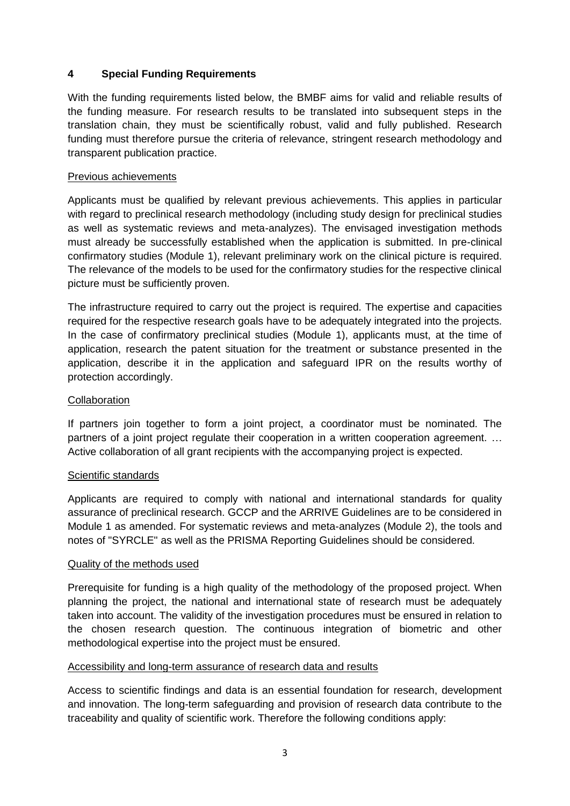# **4 Special Funding Requirements**

With the funding requirements listed below, the BMBF aims for valid and reliable results of the funding measure. For research results to be translated into subsequent steps in the translation chain, they must be scientifically robust, valid and fully published. Research funding must therefore pursue the criteria of relevance, stringent research methodology and transparent publication practice.

# Previous achievements

Applicants must be qualified by relevant previous achievements. This applies in particular with regard to preclinical research methodology (including study design for preclinical studies as well as systematic reviews and meta-analyzes). The envisaged investigation methods must already be successfully established when the application is submitted. In pre-clinical confirmatory studies (Module 1), relevant preliminary work on the clinical picture is required. The relevance of the models to be used for the confirmatory studies for the respective clinical picture must be sufficiently proven.

The infrastructure required to carry out the project is required. The expertise and capacities required for the respective research goals have to be adequately integrated into the projects. In the case of confirmatory preclinical studies (Module 1), applicants must, at the time of application, research the patent situation for the treatment or substance presented in the application, describe it in the application and safeguard IPR on the results worthy of protection accordingly.

# **Collaboration**

If partners join together to form a joint project, a coordinator must be nominated. The partners of a joint project regulate their cooperation in a written cooperation agreement. … Active collaboration of all grant recipients with the accompanying project is expected.

### Scientific standards

Applicants are required to comply with national and international standards for quality assurance of preclinical research. GCCP and the ARRIVE Guidelines are to be considered in Module 1 as amended. For systematic reviews and meta-analyzes (Module 2), the tools and notes of "SYRCLE" as well as the PRISMA Reporting Guidelines should be considered.

### Quality of the methods used

Prerequisite for funding is a high quality of the methodology of the proposed project. When planning the project, the national and international state of research must be adequately taken into account. The validity of the investigation procedures must be ensured in relation to the chosen research question. The continuous integration of biometric and other methodological expertise into the project must be ensured.

### Accessibility and long-term assurance of research data and results

Access to scientific findings and data is an essential foundation for research, development and innovation. The long-term safeguarding and provision of research data contribute to the traceability and quality of scientific work. Therefore the following conditions apply: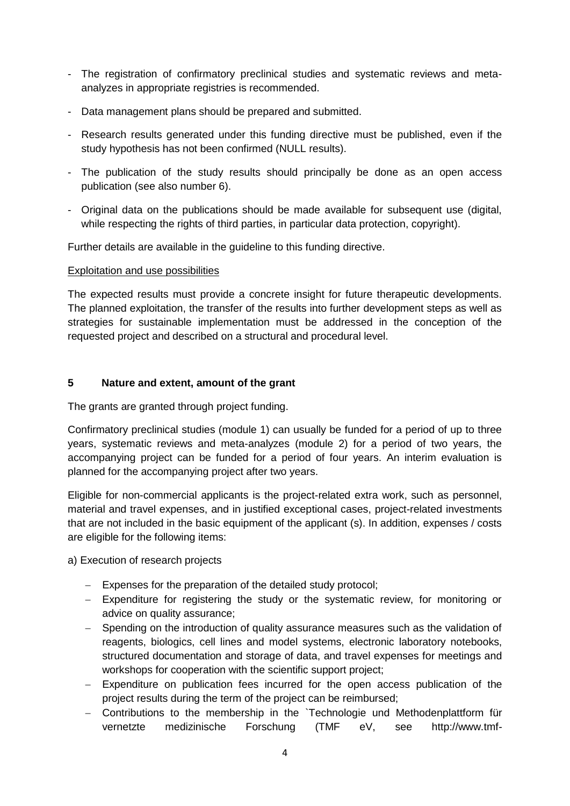- The registration of confirmatory preclinical studies and systematic reviews and metaanalyzes in appropriate registries is recommended.
- Data management plans should be prepared and submitted.
- Research results generated under this funding directive must be published, even if the study hypothesis has not been confirmed (NULL results).
- The publication of the study results should principally be done as an open access publication (see also number 6).
- Original data on the publications should be made available for subsequent use (digital, while respecting the rights of third parties, in particular data protection, copyright).

Further details are available in the guideline to this funding directive.

#### Exploitation and use possibilities

The expected results must provide a concrete insight for future therapeutic developments. The planned exploitation, the transfer of the results into further development steps as well as strategies for sustainable implementation must be addressed in the conception of the requested project and described on a structural and procedural level.

# **5 Nature and extent, amount of the grant**

The grants are granted through project funding.

Confirmatory preclinical studies (module 1) can usually be funded for a period of up to three years, systematic reviews and meta-analyzes (module 2) for a period of two years, the accompanying project can be funded for a period of four years. An interim evaluation is planned for the accompanying project after two years.

Eligible for non-commercial applicants is the project-related extra work, such as personnel, material and travel expenses, and in justified exceptional cases, project-related investments that are not included in the basic equipment of the applicant (s). In addition, expenses / costs are eligible for the following items:

a) Execution of research projects

- Expenses for the preparation of the detailed study protocol;
- Expenditure for registering the study or the systematic review, for monitoring or advice on quality assurance;
- Spending on the introduction of quality assurance measures such as the validation of reagents, biologics, cell lines and model systems, electronic laboratory notebooks, structured documentation and storage of data, and travel expenses for meetings and workshops for cooperation with the scientific support project;
- Expenditure on publication fees incurred for the open access publication of the project results during the term of the project can be reimbursed;
- Contributions to the membership in the `Technologie und Methodenplattform für vernetzte medizinische Forschung (TMF eV, see http://www.tmf-